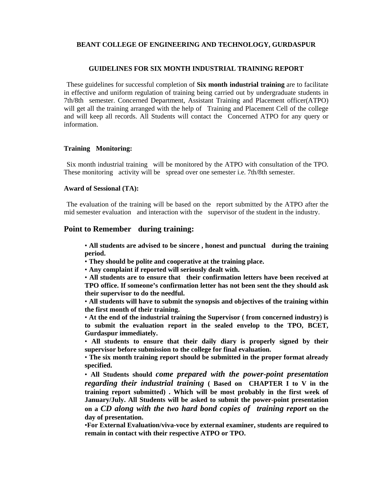### **BEANT COLLEGE OF ENGINEERING AND TECHNOLOGY, GURDASPUR**

#### **GUIDELINES FOR SIX MONTH INDUSTRIAL TRAINING REPORT**

 These guidelines for successful completion of **Six month industrial training** are to facilitate in effective and uniform regulation of training being carried out by undergraduate students in 7th/8th semester. Concerned Department, Assistant Training and Placement officer(ATPO) will get all the training arranged with the help of Training and Placement Cell of the college and will keep all records. All Students will contact the Concerned ATPO for any query or information.

# **Training Monitoring:**

 Six month industrial training will be monitored by the ATPO with consultation of the TPO. These monitoring activity will be spread over one semester i.e. 7th/8th semester.

#### **Award of Sessional (TA):**

 The evaluation of the training will be based on the report submitted by the ATPO after the mid semester evaluation and interaction with the supervisor of the student in the industry.

### **Point to Remember during training:**

• **All students are advised to be sincere , honest and punctual during the training period.** 

• **They should be polite and cooperative at the training place.** 

• **Any complaint if reported will seriously dealt with.**

• **All students are to ensure that their confirmation letters have been received at TPO office. If someone's confirmation letter has not been sent the they should ask their supervisor to do the needful.** 

• **All students will have to submit the synopsis and objectives of the training within the first month of their training.** 

• **At the end of the industrial training the Supervisor ( from concerned industry) is to submit the evaluation report in the sealed envelop to the TPO, BCET, Gurdaspur immediately.** 

• **All students to ensure that their daily diary is properly signed by their supervisor before submission to the college for final evaluation.** 

• **The six month training report should be submitted in the proper format already specified.** 

• **All Students should** *come prepared with the power-point presentation regarding their industrial training* **( Based on CHAPTER I to V in the training report submitted) . Which will be most probably in the first week of January/July. All Students will be asked to submit the power-point presentation on a** *CD along with the two hard bond copies of training report* **on the day of presentation.** 

•**For External Evaluation/viva-voce by external examiner, students are required to remain in contact with their respective ATPO or TPO.**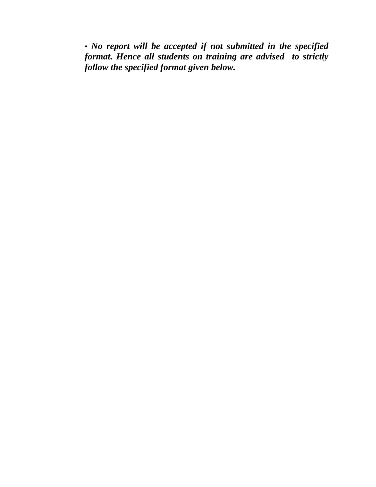• *No report will be accepted if not submitted in the specified format. Hence all students on training are advised to strictly follow the specified format given below.*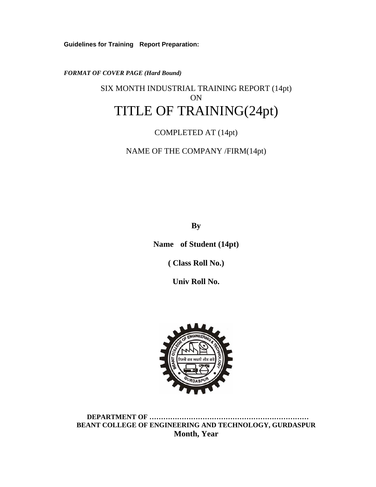**Guidelines for Training Report Preparation:** 

*FORMAT OF COVER PAGE (Hard Bound)* 

# SIX MONTH INDUSTRIAL TRAINING REPORT (14pt) ON TITLE OF TRAINING(24pt)

# COMPLETED AT (14pt)

NAME OF THE COMPANY /FIRM(14pt)

**By** 

**Name of Student (14pt)** 

**( Class Roll No.)** 

**Univ Roll No.** 



**DEPARTMENT OF …………………………………………………………… BEANT COLLEGE OF ENGINEERING AND TECHNOLOGY, GURDASPUR Month, Year**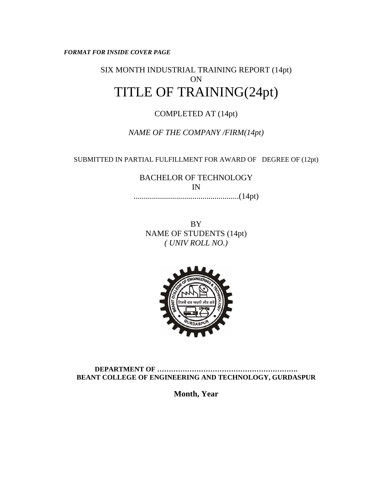*FORMAT FOR INSIDE COVER PAGE* 

# SIX MONTH INDUSTRIAL TRAINING REPORT (14pt) ON TITLE OF TRAINING(24pt)

# COMPLETED AT (14pt)

*NAME OF THE COMPANY /FIRM(14pt)* 

SUBMITTED IN PARTIAL FULFILLMENT FOR AWARD OF DEGREE OF (12pt)

BACHELOR OF TECHNOLOGY IN ....................................................(14pt)

BY NAME OF STUDENTS (14pt) *( UNIV ROLL NO.)* 



**DEPARTMENT OF ……………………………………………………. BEANT COLLEGE OF ENGINEERING AND TECHNOLOGY, GURDASPUR** 

**Month, Year**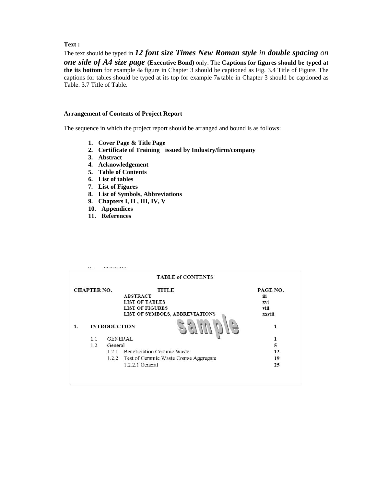# **Text :**

The text should be typed in *12 font size Times New Roman style in double spacing on one side of A4 size page* **(Executive Bond)** only. The **Captions for figures should be typed at the its bottom** for example 4th figure in Chapter 3 should be captioned as Fig. 3.4 Title of Figure. The captions for tables should be typed at its top for example 7th table in Chapter 3 should be captioned as Table. 3.7 Title of Table.

#### **Arrangement of Contents of Project Report**

The sequence in which the project report should be arranged and bound is as follows:

- **1. Cover Page & Title Page**
- **2. Certificate of Training issued by Industry/firm/company**
- **3. Abstract**
- **4. Acknowledgement**
- **5. Table of Contents**
- **6. List of tables**
- **7. List of Figures**
- **8. List of Symbols, Abbreviations**
- **9. Chapters I, II , III, IV, V**
- **10. Appendices**
- **11. References**

|                    |                     |                                                 | <b>TABLE of CONTENTS</b>       |          |
|--------------------|---------------------|-------------------------------------------------|--------------------------------|----------|
| <b>CHAPTER NO.</b> |                     |                                                 | <b>TITLE</b>                   | PAGE NO. |
|                    |                     |                                                 | <b>ABSTRACT</b>                | iii      |
|                    |                     |                                                 | <b>LIST OF TABLES</b>          | xvi      |
|                    |                     |                                                 | <b>LIST OF FIGURES</b>         | viii     |
|                    |                     |                                                 | LIST OF SYMBOLS, ABBREVIATIONS | xxviii   |
| 1.                 | <b>INTRODUCTION</b> |                                                 | 1                              |          |
|                    | 1.1                 | <b>GENERAL</b>                                  |                                |          |
|                    | 1.2                 | General                                         | 5                              |          |
|                    |                     | 1.2.1                                           | Beneficiation Ceramic Waste    | 12       |
|                    |                     | Test of Ceramic Waste Coarse Aggregate<br>1.2.2 | 19                             |          |
|                    |                     |                                                 | 1.2.2.1 General                | 25       |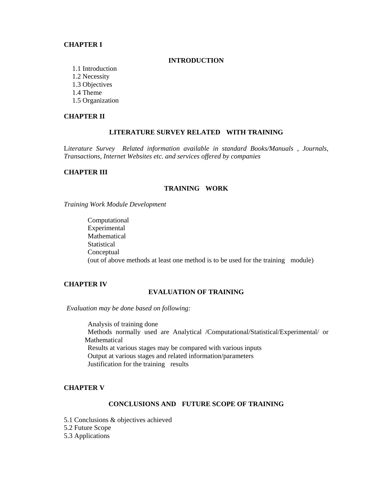### **CHAPTER I**

#### **INTRODUCTION**

- 1.1 Introduction
- 1.2 Necessity
- 1.3 Objectives
- 1.4 Theme
- 1.5 Organization

## **CHAPTER II**

# **LITERATURE SURVEY RELATED WITH TRAINING**

L*iterature Survey Related information available in standard Books/Manuals , Journals, Transactions, Internet Websites etc. and services offered by companies* 

## **CHAPTER III**

### **TRAINING WORK**

*Training Work Module Development* 

 Computational Experimental Mathematical **Statistical**  Conceptual (out of above methods at least one method is to be used for the training module)

# **CHAPTER IV**

# **EVALUATION OF TRAINING**

*Evaluation may be done based on following:* 

 Analysis of training done Methods normally used are Analytical /Computational/Statistical/Experimental/ or Mathematical Results at various stages may be compared with various inputs Output at various stages and related information/parameters Justification for the training results

# **CHAPTER V**

# **CONCLUSIONS AND FUTURE SCOPE OF TRAINING**

- 5.1 Conclusions & objectives achieved
- 5.2 Future Scope
- 5.3 Applications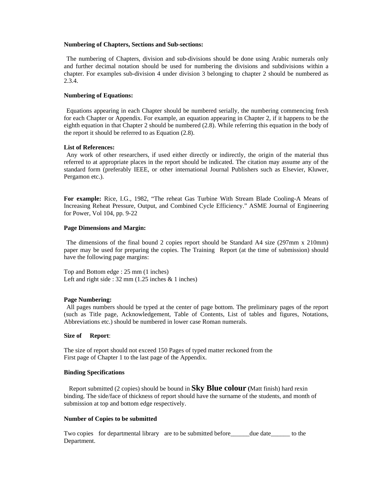#### **Numbering of Chapters, Sections and Sub-sections:**

 The numbering of Chapters, division and sub-divisions should be done using Arabic numerals only and further decimal notation should be used for numbering the divisions and subdivisions within a chapter. For examples sub-division 4 under division 3 belonging to chapter 2 should be numbered as 2.3.4.

#### **Numbering of Equations:**

 Equations appearing in each Chapter should be numbered serially, the numbering commencing fresh for each Chapter or Appendix. For example, an equation appearing in Chapter 2, if it happens to be the eighth equation in that Chapter 2 should be numbered (2.8). While referring this equation in the body of the report it should be referred to as Equation (2.8).

#### **List of References:**

 Any work of other researchers, if used either directly or indirectly, the origin of the material thus referred to at appropriate places in the report should be indicated. The citation may assume any of the standard form (preferably IEEE, or other international Journal Publishers such as Elsevier, Kluwer, Pergamon etc.).

**For example:** Rice, I.G., 1982, "The reheat Gas Turbine With Stream Blade Cooling-A Means of Increasing Reheat Pressure, Output, and Combined Cycle Efficiency." ASME Journal of Engineering for Power, Vol 104, pp. 9-22

#### **Page Dimensions and Margin:**

 The dimensions of the final bound 2 copies report should be Standard A4 size (297mm x 210mm) paper may be used for preparing the copies. The Training Report (at the time of submission) should have the following page margins:

Top and Bottom edge : 25 mm (1 inches) Left and right side :  $32 \text{ mm}$  (1.25 inches & 1 inches)

#### **Page Numbering:**

 All pages numbers should be typed at the center of page bottom. The preliminary pages of the report (such as Title page, Acknowledgement, Table of Contents, List of tables and figures, Notations, Abbreviations etc.) should be numbered in lower case Roman numerals.

#### **Size of Report**:

The size of report should not exceed 150 Pages of typed matter reckoned from the First page of Chapter 1 to the last page of the Appendix.

#### **Binding Specifications**

 Report submitted (2 copies) should be bound in **Sky Blue colour (**Matt finish) hard rexin binding. The side/face of thickness of report should have the surname of the students, and month of submission at top and bottom edge respectively.

#### **Number of Copies to be submitted**

Two copies for departmental library are to be submitted before equal due date to the Department.